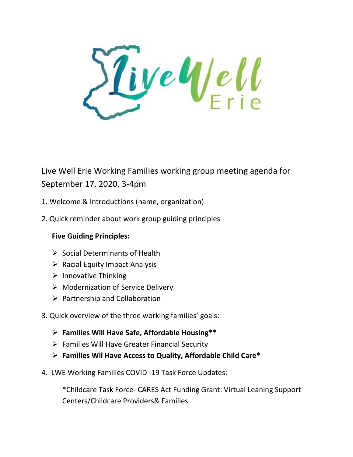ive Well

Live Well Erie Working Families working group meeting agenda for September 17, 2020, 3-4pm

- 1. Welcome & Introductions (name, organization)
- 2. Quick reminder about work group guiding principles

## **Five Guiding Principles:**

- ➢ Social Determinants of Health
- $\triangleright$  Racial Equity Impact Analysis
- ➢ Innovative Thinking
- ➢ Modernization of Service Delivery
- $\triangleright$  Partnership and Collaboration
- 3. Quick overview of the three working families' goals:
	- ➢ **Families Will Have Safe, Affordable Housing\*\***
	- ➢ Families Will Have Greater Financial Security
	- ➢ **Families Wil Have Access to Quality, Affordable Child Care\***
- 4. LWE Working Families COVID -19 Task Force Updates:

\*Childcare Task Force- CARES Act Funding Grant: Virtual Leaning Support Centers/Childcare Providers& Families